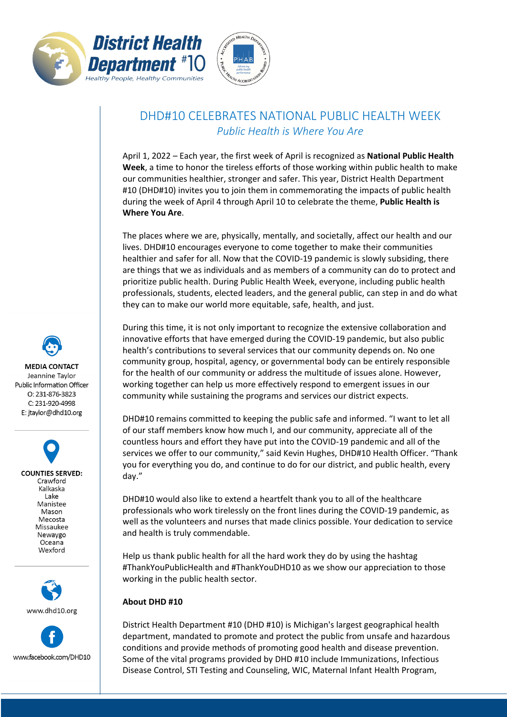



## DHD#10 CELEBRATES NATIONAL PUBLIC HEALTH WEEK *Public Health is Where You Are*

April 1, 2022 – Each year, the first week of April is recognized as **National Public Health Week**, a time to honor the tireless efforts of those working within public health to make our communities healthier, stronger and safer. This year, District Health Department #10 (DHD#10) invites you to join them in commemorating the impacts of public health during the week of April 4 through April 10 to celebrate the theme, **Public Health is Where You Are**.

The places where we are, physically, mentally, and societally, affect our health and our lives. DHD#10 encourages everyone to come together to make their communities healthier and safer for all. Now that the COVID-19 pandemic is slowly subsiding, there are things that we as individuals and as members of a community can do to protect and prioritize public health. During Public Health Week, everyone, including public health professionals, students, elected leaders, and the general public, can step in and do what they can to make our world more equitable, safe, health, and just.

During this time, it is not only important to recognize the extensive collaboration and innovative efforts that have emerged during the COVID-19 pandemic, but also public health's contributions to several services that our community depends on. No one community group, hospital, agency, or governmental body can be entirely responsible for the health of our community or address the multitude of issues alone. However, working together can help us more effectively respond to emergent issues in our community while sustaining the programs and services our district expects.

DHD#10 remains committed to keeping the public safe and informed. "I want to let all of our staff members know how much I, and our community, appreciate all of the countless hours and effort they have put into the COVID-19 pandemic and all of the services we offer to our community," said Kevin Hughes, DHD#10 Health Officer. "Thank you for everything you do, and continue to do for our district, and public health, every day."

DHD#10 would also like to extend a heartfelt thank you to all of the healthcare professionals who work tirelessly on the front lines during the COVID-19 pandemic, as well as the volunteers and nurses that made clinics possible. Your dedication to service and health is truly commendable.

Help us thank public health for all the hard work they do by using the hashtag #ThankYouPublicHealth and #ThankYouDHD10 as we show our appreciation to those working in the public health sector.

## **About DHD #10**

District Health Department #10 (DHD #10) is Michigan's largest geographical health department, mandated to promote and protect the public from unsafe and hazardous conditions and provide methods of promoting good health and disease prevention. Some of the vital programs provided by DHD #10 include Immunizations, Infectious Disease Control, STI Testing and Counseling, WIC, Maternal Infant Health Program,

**MEDIA CONTACT** Jeannine Taylor Public Information Officer  $O: 231 - 876 - 3823$ C: 231-920-4998 E: jtaylor@dhd10.org

**COUNTIES SERVED:** Crawford Kalkaska Lake Manistee Mason Mecosta Missaukee Newaygo Oceana Wexford



www.facebook.com/DHD10